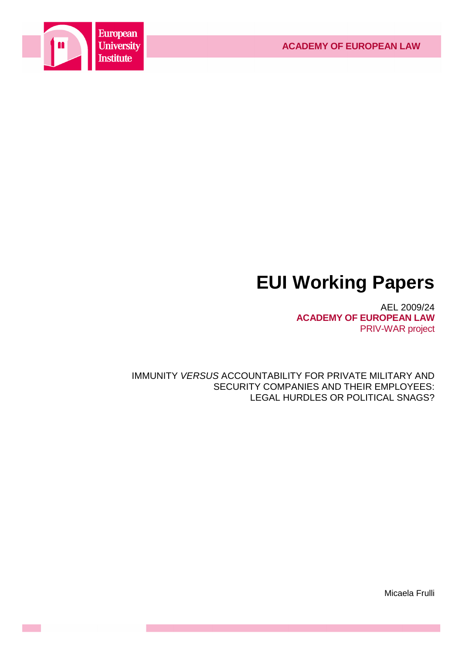

# **EUI Working Papers**

AEL 2009/24 **ACADEMY OF EUROPEAN LAW** PRIV-WAR project

IMMUNITY VERSUS ACCOUNTABILITY FOR PRIVATE MILITARY AND SECURITY COMPANIES AND THEIR EMPLOYEES: LEGAL HURDLES OR POLITICAL SNAGS?

Micaela Frulli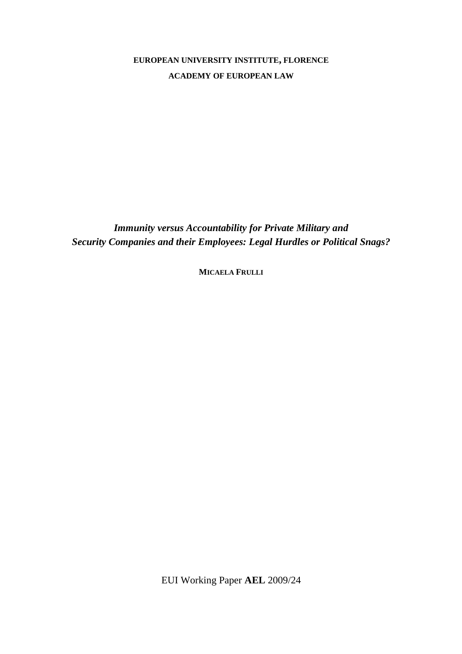**EUROPEAN UNIVERSITY INSTITUTE, FLORENCE ACADEMY OF EUROPEAN LAW**

*Immunity versus Accountability for Private Military and Security Companies and their Employees: Legal Hurdles or Political Snags?* 

**MICAELA FRULLI**

EUI Working Paper **AEL** 2009/24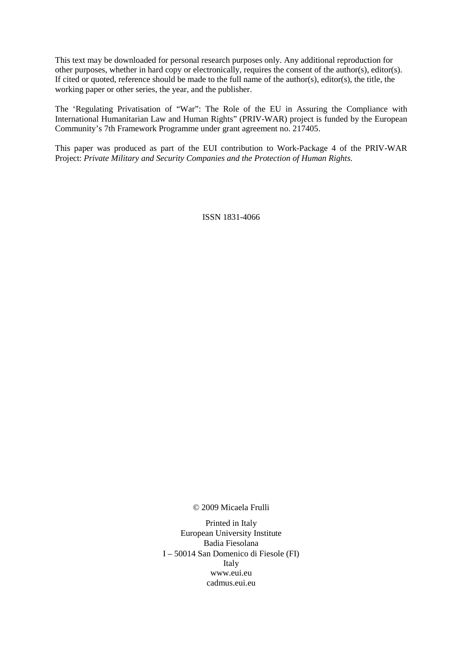This text may be downloaded for personal research purposes only. Any additional reproduction for other purposes, whether in hard copy or electronically, requires the consent of the author(s), editor(s). If cited or quoted, reference should be made to the full name of the author(s), editor(s), the title, the working paper or other series, the year, and the publisher.

The 'Regulating Privatisation of "War": The Role of the EU in Assuring the Compliance with International Humanitarian Law and Human Rights" (PRIV-WAR) project is funded by the European Community's 7th Framework Programme under grant agreement no. 217405.

This paper was produced as part of the EUI contribution to Work-Package 4 of the PRIV-WAR Project: *Private Military and Security Companies and the Protection of Human Rights.* 

ISSN 1831-4066

© 2009 Micaela Frulli

Printed in Italy European University Institute Badia Fiesolana I – 50014 San Domenico di Fiesole (FI) Italy www.eui.eu cadmus.eui.eu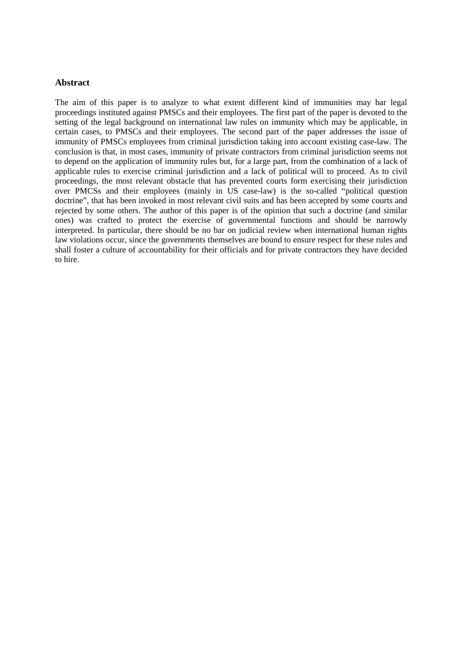## **Abstract**

The aim of this paper is to analyze to what extent different kind of immunities may bar legal proceedings instituted against PMSCs and their employees. The first part of the paper is devoted to the setting of the legal background on international law rules on immunity which may be applicable, in certain cases, to PMSCs and their employees. The second part of the paper addresses the issue of immunity of PMSCs employees from criminal jurisdiction taking into account existing case-law. The conclusion is that, in most cases, immunity of private contractors from criminal jurisdiction seems not to depend on the application of immunity rules but, for a large part, from the combination of a lack of applicable rules to exercise criminal jurisdiction and a lack of political will to proceed. As to civil proceedings, the most relevant obstacle that has prevented courts form exercising their jurisdiction over PMCSs and their employees (mainly in US case-law) is the so-called "political question doctrine", that has been invoked in most relevant civil suits and has been accepted by some courts and rejected by some others. The author of this paper is of the opinion that such a doctrine (and similar ones) was crafted to protect the exercise of governmental functions and should be narrowly interpreted. In particular, there should be no bar on judicial review when international human rights law violations occur, since the governments themselves are bound to ensure respect for these rules and shall foster a culture of accountability for their officials and for private contractors they have decided to hire.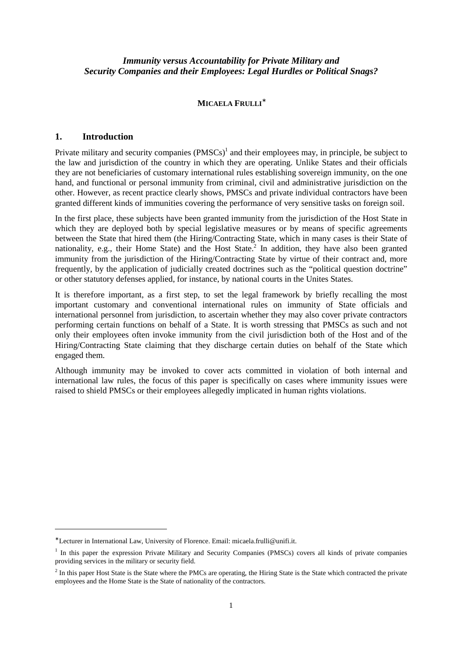## *Immunity versus Accountability for Private Military and Security Companies and their Employees: Legal Hurdles or Political Snags?*

## **MICAELA FRULLI**<sup>∗</sup>

#### **1. Introduction**

 $\overline{a}$ 

Private military and security companies  $(PMSCs)^{1}$  and their employees may, in principle, be subject to the law and jurisdiction of the country in which they are operating. Unlike States and their officials they are not beneficiaries of customary international rules establishing sovereign immunity, on the one hand, and functional or personal immunity from criminal, civil and administrative jurisdiction on the other. However, as recent practice clearly shows, PMSCs and private individual contractors have been granted different kinds of immunities covering the performance of very sensitive tasks on foreign soil.

In the first place, these subjects have been granted immunity from the jurisdiction of the Host State in which they are deployed both by special legislative measures or by means of specific agreements between the State that hired them (the Hiring/Contracting State, which in many cases is their State of nationality, e.g., their Home State) and the Host State.<sup>2</sup> In addition, they have also been granted immunity from the jurisdiction of the Hiring/Contracting State by virtue of their contract and, more frequently, by the application of judicially created doctrines such as the "political question doctrine" or other statutory defenses applied, for instance, by national courts in the Unites States.

It is therefore important, as a first step, to set the legal framework by briefly recalling the most important customary and conventional international rules on immunity of State officials and international personnel from jurisdiction, to ascertain whether they may also cover private contractors performing certain functions on behalf of a State. It is worth stressing that PMSCs as such and not only their employees often invoke immunity from the civil jurisdiction both of the Host and of the Hiring/Contracting State claiming that they discharge certain duties on behalf of the State which engaged them.

Although immunity may be invoked to cover acts committed in violation of both internal and international law rules, the focus of this paper is specifically on cases where immunity issues were raised to shield PMSCs or their employees allegedly implicated in human rights violations.

<sup>∗</sup> Lecturer in International Law, University of Florence. Email: micaela.frulli@unifi.it.

<sup>&</sup>lt;sup>1</sup> In this paper the expression Private Military and Security Companies (PMSCs) covers all kinds of private companies providing services in the military or security field.

 $<sup>2</sup>$  In this paper Host State is the State where the PMCs are operating, the Hiring State is the State which contracted the private</sup> employees and the Home State is the State of nationality of the contractors.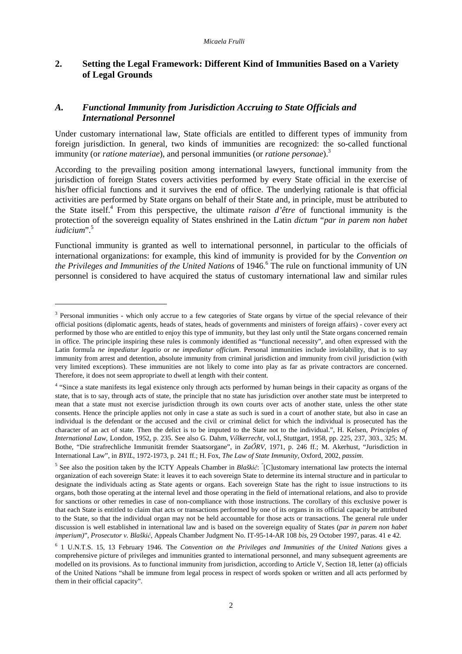## **2. Setting the Legal Framework: Different Kind of Immunities Based on a Variety of Legal Grounds**

# *A. Functional Immunity from Jurisdiction Accruing to State Officials and International Personnel*

Under customary international law, State officials are entitled to different types of immunity from foreign jurisdiction. In general, two kinds of immunities are recognized: the so-called functional immunity (or *ratione materiae*), and personal immunities (or *ratione personae*).<sup>3</sup>

According to the prevailing position among international lawyers, functional immunity from the jurisdiction of foreign States covers activities performed by every State official in the exercise of his/her official functions and it survives the end of office. The underlying rationale is that official activities are performed by State organs on behalf of their State and, in principle, must be attributed to the State itself.<sup>4</sup> From this perspective, the ultimate *raison d'être* of functional immunity is the protection of the sovereign equality of States enshrined in the Latin *dictum* "*par in parem non habet iudicium*".<sup>5</sup>

Functional immunity is granted as well to international personnel, in particular to the officials of international organizations: for example, this kind of immunity is provided for by the *Convention on*  the Privileges and Immunities of the United Nations of 1946.<sup>6</sup> The rule on functional immunity of UN personnel is considered to have acquired the status of customary international law and similar rules

<sup>&</sup>lt;sup>3</sup> Personal immunities - which only accrue to a few categories of State organs by virtue of the special relevance of their official positions (diplomatic agents, heads of states, heads of governments and ministers of foreign affairs) - cover every act performed by those who are entitled to enjoy this type of immunity, but they last only until the State organs concerned remain in office. The principle inspiring these rules is commonly identified as "functional necessity", and often expressed with the Latin formula *ne impediatur legatio* or *ne impediatur officium*. Personal immunities include inviolability, that is to say immunity from arrest and detention, absolute immunity from criminal jurisdiction and immunity from civil jurisdiction (with very limited exceptions). These immunities are not likely to come into play as far as private contractors are concerned. Therefore, it does not seem appropriate to dwell at length with their content.

<sup>&</sup>lt;sup>4</sup> "Since a state manifests its legal existence only through acts performed by human beings in their capacity as organs of the state, that is to say, through acts of state, the principle that no state has jurisdiction over another state must be interpreted to mean that a state must not exercise jurisdiction through its own courts over acts of another state, unless the other state consents. Hence the principle applies not only in case a state as such is sued in a court of another state, but also in case an individual is the defendant or the accused and the civil or criminal delict for which the individual is prosecuted has the character of an act of state. Then the delict is to be imputed to the State not to the individual.", H. Kelsen, *Principles of International Law,* London, 1952, p. 235. See also G. Dahm, *V*ı*lkerrecht*, vol.I, Stuttgart, 1958, pp. 225, 237, 303., 325; M. Bothe, "Die strafrechliche Immunität fremder Staatsorgane", in *Za*İ*RV*, 1971, p. 246 ff.; M. Akerhust, "Jurisdiction in International Law", in *BYIL*, 1972-1973, p. 241 ff.; H. Fox, *The Law of State Immunity*, Oxford, 2002, *passim*.

<sup>&</sup>lt;sup>5</sup> See also the position taken by the ICTY Appeals Chamber in *Blaškič*: "[C]ustomary international law protects the internal organization of each sovereign State: it leaves it to each sovereign State to determine its internal structure and in particular to designate the individuals acting as State agents or organs. Each sovereign State has the right to issue instructions to its organs, both those operating at the internal level and those operating in the field of international relations, and also to provide for sanctions or other remedies in case of non-compliance with those instructions. The corollary of this exclusive power is that each State is entitled to claim that acts or transactions performed by one of its organs in its official capacity be attributed to the State, so that the individual organ may not be held accountable for those acts or transactions. The general rule under discussion is well established in international law and is based on the sovereign equality of States (*par in parem non habet imperium)*", *Prosecutor v. Blaški*ć, Appeals Chamber Judgment No. IT-95-14-AR 108 *bis*, 29 October 1997, paras. 41 e 42.

<sup>6</sup> 1 U.N.T.S. 15, 13 February 1946. The *Convention on the Privileges and Immunities of the United Nations* gives a comprehensive picture of privileges and immunities granted to international personnel, and many subsequent agreements are modelled on its provisions. As to functional immunity from jurisdiction, according to Article V, Section 18, letter (a) officials of the United Nations "shall be immune from legal process in respect of words spoken or written and all acts performed by them in their official capacity".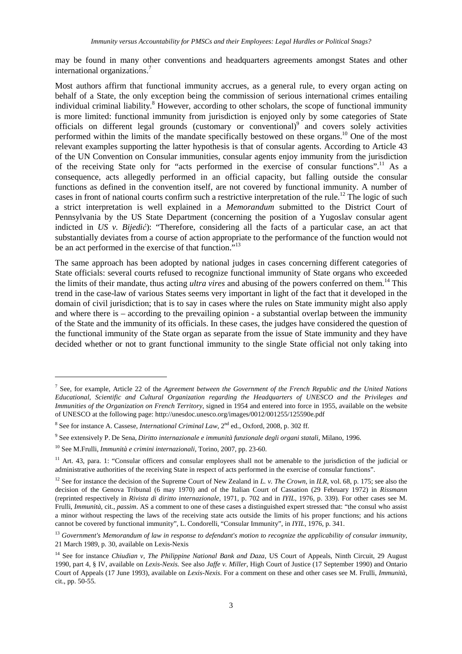may be found in many other conventions and headquarters agreements amongst States and other international organizations.<sup>7</sup>

Most authors affirm that functional immunity accrues, as a general rule, to every organ acting on behalf of a State, the only exception being the commission of serious international crimes entailing individual criminal liability.<sup>8</sup> However, according to other scholars, the scope of functional immunity is more limited: functional immunity from jurisdiction is enjoyed only by some categories of State officials on different legal grounds (customary or conventional)<sup>9</sup> and covers solely activities performed within the limits of the mandate specifically bestowed on these organs.<sup>10</sup> One of the most relevant examples supporting the latter hypothesis is that of consular agents. According to Article 43 of the UN Convention on Consular immunities, consular agents enjoy immunity from the jurisdiction of the receiving State only for "acts performed in the exercise of consular functions".<sup>11</sup> As a consequence, acts allegedly performed in an official capacity, but falling outside the consular functions as defined in the convention itself, are not covered by functional immunity. A number of cases in front of national courts confirm such a restrictive interpretation of the rule.<sup>12</sup> The logic of such a strict interpretation is well explained in a *Memorandum* submitted to the District Court of Pennsylvania by the US State Department (concerning the position of a Yugoslav consular agent indicted in *US v. Bijedi*ć): "Therefore, considering all the facts of a particular case, an act that substantially deviates from a course of action appropriate to the performance of the function would not be an act performed in the exercise of that function."<sup>13</sup>

The same approach has been adopted by national judges in cases concerning different categories of State officials: several courts refused to recognize functional immunity of State organs who exceeded the limits of their mandate, thus acting *ultra vires* and abusing of the powers conferred on them.<sup>14</sup> This trend in the case-law of various States seems very important in light of the fact that it developed in the domain of civil jurisdiction; that is to say in cases where the rules on State immunity might also apply and where there is – according to the prevailing opinion - a substantial overlap between the immunity of the State and the immunity of its officials. In these cases, the judges have considered the question of the functional immunity of the State organ as separate from the issue of State immunity and they have decided whether or not to grant functional immunity to the single State official not only taking into

<sup>7</sup> See, for example, Article 22 of the *Agreement between the Government of the French Republic and the United Nations Educational, Scientific and Cultural Organization regarding the Headquarters of UNESCO and the Privileges and Immunities of the Organization on French Territory*, signed in 1954 and entered into force in 1955, available on the website of UNESCO at the following page: http://unesdoc.unesco.org/images/0012/001255/125590e.pdf

<sup>&</sup>lt;sup>8</sup> See for instance A. Cassese, *International Criminal Law*, 2<sup>nd</sup> ed., Oxford, 2008, p. 302 ff.

<sup>9</sup> See extensively P. De Sena, *Diritto internazionale e immunità funzionale degli organi statali*, Milano, 1996.

<sup>10</sup> See M.Frulli, *Immunità e crimini internazionali*, Torino, 2007, pp. 23-60.

<sup>&</sup>lt;sup>11</sup> Art. 43, para. 1: "Consular officers and consular employees shall not be amenable to the jurisdiction of the judicial or administrative authorities of the receiving State in respect of acts performed in the exercise of consular functions".

<sup>&</sup>lt;sup>12</sup> See for instance the decision of the Supreme Court of New Zealand in *L. v. The Crown*, in *ILR*, vol. 68, p. 175; see also the decision of the Genova Tribunal (6 may 1970) and of the Italian Court of Cassation (29 February 1972) in *Rissmann*  (reprinted respectively in *Rivista di diritto internazionale*, 1971, p. 702 and in *IYIL*, 1976, p. 339). For other cases see M. Frulli, *Immunità*, cit., *passim*. AS a comment to one of these cases a distinguished expert stressed that: "the consul who assist a minor without respecting the laws of the receiving state acts outside the limits of his proper functions; and his actions cannot be covered by functional immunity", L. Condorelli, "Consular Immunity", in *IYIL*, 1976, p. 341.

<sup>13</sup> *Government's Memorandum of law in response to defendant's motion to recognize the applicability of consular immunity*, 21 March 1989, p. 30, available on Lexis-Nexis

<sup>&</sup>lt;sup>14</sup> See for instance *Chiudian v, The Philippine National Bank and Daza*, US Court of Appeals, Ninth Circuit, 29 August 1990, part 4, § IV, available on *Lexis-Nexis.* See also *Jaffe v. Miller*, High Court of Justice (17 September 1990) and Ontario Court of Appeals (17 June 1993), available on *Lexis-Nexis*. For a comment on these and other cases see M. Frulli, *Immunità*, cit., pp. 50-55.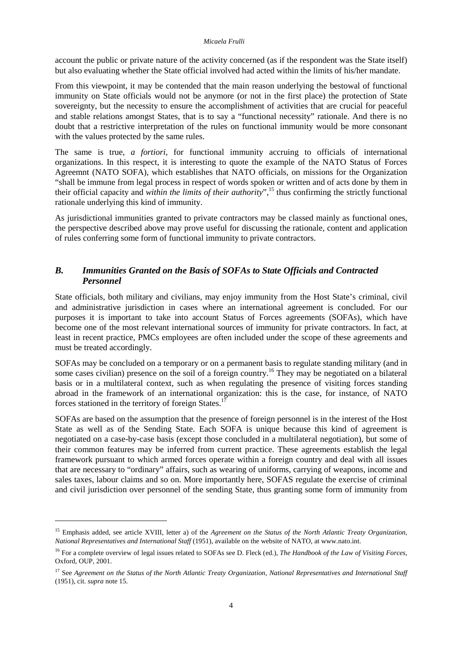account the public or private nature of the activity concerned (as if the respondent was the State itself) but also evaluating whether the State official involved had acted within the limits of his/her mandate.

From this viewpoint, it may be contended that the main reason underlying the bestowal of functional immunity on State officials would not be anymore (or not in the first place) the protection of State sovereignty, but the necessity to ensure the accomplishment of activities that are crucial for peaceful and stable relations amongst States, that is to say a "functional necessity" rationale. And there is no doubt that a restrictive interpretation of the rules on functional immunity would be more consonant with the values protected by the same rules.

The same is true, *a fortiori*, for functional immunity accruing to officials of international organizations. In this respect, it is interesting to quote the example of the NATO Status of Forces Agreemnt (NATO SOFA), which establishes that NATO officials, on missions for the Organization "shall be immune from legal process in respect of words spoken or written and of acts done by them in their official capacity and *within the limits of their authority*",<sup>15</sup> thus confirming the strictly functional rationale underlying this kind of immunity.

As jurisdictional immunities granted to private contractors may be classed mainly as functional ones, the perspective described above may prove useful for discussing the rationale, content and application of rules conferring some form of functional immunity to private contractors.

# *B. Immunities Granted on the Basis of SOFAs to State Officials and Contracted Personnel*

State officials, both military and civilians, may enjoy immunity from the Host State's criminal, civil and administrative jurisdiction in cases where an international agreement is concluded. For our purposes it is important to take into account Status of Forces agreements (SOFAs), which have become one of the most relevant international sources of immunity for private contractors. In fact, at least in recent practice, PMCs employees are often included under the scope of these agreements and must be treated accordingly.

SOFAs may be concluded on a temporary or on a permanent basis to regulate standing military (and in some cases civilian) presence on the soil of a foreign country.<sup>16</sup> They may be negotiated on a bilateral basis or in a multilateral context, such as when regulating the presence of visiting forces standing abroad in the framework of an international organization: this is the case, for instance, of NATO forces stationed in the territory of foreign States.<sup>17</sup>

SOFAs are based on the assumption that the presence of foreign personnel is in the interest of the Host State as well as of the Sending State. Each SOFA is unique because this kind of agreement is negotiated on a case-by-case basis (except those concluded in a multilateral negotiation), but some of their common features may be inferred from current practice. These agreements establish the legal framework pursuant to which armed forces operate within a foreign country and deal with all issues that are necessary to "ordinary" affairs, such as wearing of uniforms, carrying of weapons, income and sales taxes, labour claims and so on. More importantly here, SOFAS regulate the exercise of criminal and civil jurisdiction over personnel of the sending State, thus granting some form of immunity from

<sup>&</sup>lt;sup>15</sup> Emphasis added, see article XVIII, letter a) of the *Agreement on the Status of the North Atlantic Treaty Organization*, *National Representatives and International Staff* (1951), available on the website of NATO, at www.nato.int.

<sup>16</sup> For a complete overview of legal issues related to SOFAs see D. Fleck (ed.), *The Handbook of the Law of Visiting Forces*, Oxford, OUP, 2001.

<sup>17</sup> See *Agreement on the Status of the North Atlantic Treaty Organization, National Representatives and International Staff*  (1951), cit. *supra* note 15.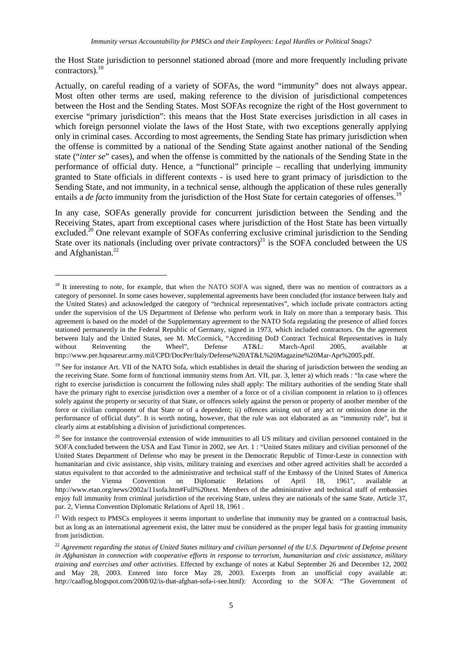the Host State jurisdiction to personnel stationed abroad (more and more frequently including private contractors).<sup>18</sup>

Actually, on careful reading of a variety of SOFAs, the word "immunity" does not always appear. Most often other terms are used, making reference to the division of jurisdictional competences between the Host and the Sending States. Most SOFAs recognize the right of the Host government to exercise "primary jurisdiction": this means that the Host State exercises jurisdiction in all cases in which foreign personnel violate the laws of the Host State, with two exceptions generally applying only in criminal cases. According to most agreements, the Sending State has primary jurisdiction when the offense is committed by a national of the Sending State against another national of the Sending state ("*inter se*" cases), and when the offense is committed by the nationals of the Sending State in the performance of official duty. Hence, a "functional" principle – recalling that underlying immunity granted to State officials in different contexts - is used here to grant primacy of jurisdiction to the Sending State, and not immunity, in a technical sense, although the application of these rules generally entails a *de facto* immunity from the jurisdiction of the Host State for certain categories of offenses.<sup>19</sup>

In any case, SOFAs generally provide for concurrent jurisdiction between the Sending and the Receiving States, apart from exceptional cases where jurisdiction of the Host State has been virtually excluded.<sup>20</sup> One relevant example of SOFAs conferring exclusive criminal jurisdiction to the Sending State over its nationals (including over private contractors)<sup>21</sup> is the SOFA concluded between the US and Afghanistan.<sup>22</sup>

<sup>&</sup>lt;sup>18</sup> It interesting to note, for example, that when the NATO SOFA was signed, there was no mention of contractors as a category of personnel. In some cases however, supplemental agreements have been concluded (for instance between Italy and the United States) and acknowledged the category of "technical representatives", which include private contractors acting under the supervision of the US Department of Defense who perform work in Italy on more than a temporary basis. This agreement is based on the model of the Supplementary agreement to the NATO Sofa regulating the presence of allied forces stationed permanently in the Federal Republic of Germany, signed in 1973, which included contractors. On the agreement between Italy and the United States, see M. McCormick, "Accrediting DoD Contract Technical Representatives in Italy without Reinventing the Wheel", Defense AT&L: March-April 2005, available at http://www.per.hqusareur.army.mil/CPD/DocPer/Italy/Defense%20AT&L%20Magazine%20Mar-Apr%2005.pdf.

 $19$  See for instance Art. VII of the NATO Sofa, which establishes in detail the sharing of jurisdiction between the sending an the receiving State. Some form of functional immunity stems from Art. VII, par. 3, letter a) which reads : "In case where the right to exercise jurisdiction is concurrent the following rules shall apply: The military authorities of the sending State shall have the primary right to exercise jurisdiction over a member of a force or of a civilian component in relation to i) offences solely against the property or security of that State, or offences solely against the person or property of another member of the force or civilian component of that State or of a dependent; ii) offences arising out of any act or omission done in the performance of official duty". It is worth noting, however, that the rule was not elaborated as an "immunity rule", but it clearly aims at establishing a division of jurisdictional competences.

<sup>&</sup>lt;sup>20</sup> See for instance the controversial extension of wide immunities to all US military and civilian personnel contained in the SOFA concluded between the USA and East Timor in 2002, see Art. 1: "United States military and civilian personnel of the United States Department of Defense who may be present in the Democratic Republic of Timor-Leste in connection with humanitarian and civic assistance, ship visits, military training and exercises and other agreed activities shall be accorded a status equivalent to that accorded to the administrative and technical staff of the Embassy of the United States of America under the Vienna Convention on Diplomatic Relations of April 18, 1961", available at http://www.etan.org/news/2002a/11sofa.htm#Full%20text. Members of the administrative and technical staff of embassies enjoy full immunity from criminal jurisdiction of the receiving State, unless they are nationals of the same State. Article 37, par. 2, Vienna Convention Diplomatic Relations of April 18, 1961 .

<sup>&</sup>lt;sup>21</sup> With respect to PMSCs employees it seems important to underline that immunity may be granted on a contractual basis, but as long as an international agreement exist, the latter must be considered as the proper legal basis for granting immunity from jurisdiction.

<sup>&</sup>lt;sup>22</sup> Agreement regarding the status of United States military and civilian personnel of the U.S. Department of Defense present *in Afghanistan in connection with cooperative efforts in response to terrorism, humanitarian and civic assistance, military training and exercises and other activities*. Effected by exchange of notes at Kabul September 26 and December 12, 2002 and May 28, 2003. Entered into force May 28, 2003. Excerpts from an unofficial copy available at: http://caaflog.blogspot.com/2008/02/is-that-afghan-sofa-i-see.html): According to the SOFA: "The Government of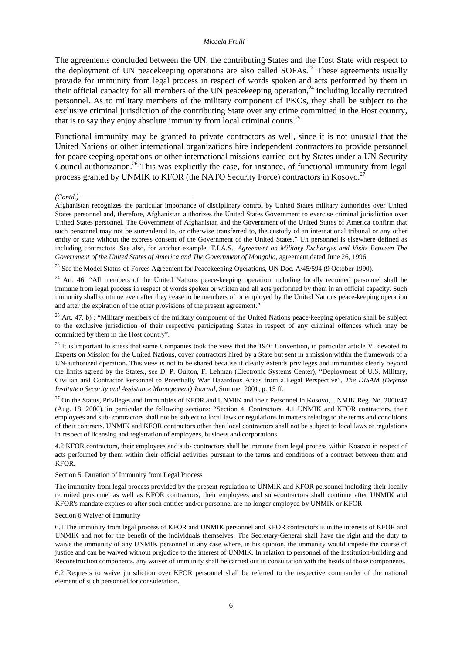The agreements concluded between the UN, the contributing States and the Host State with respect to the deployment of UN peacekeeping operations are also called SOFAs.<sup>23</sup> These agreements usually provide for immunity from legal process in respect of words spoken and acts performed by them in their official capacity for all members of the UN peace keeping operation,<sup>24</sup> including locally recruited personnel. As to military members of the military component of PKOs, they shall be subject to the exclusive criminal jurisdiction of the contributing State over any crime committed in the Host country, that is to say they enjoy absolute immunity from local criminal courts.<sup>25</sup>

Functional immunity may be granted to private contractors as well, since it is not unusual that the United Nations or other international organizations hire independent contractors to provide personnel for peacekeeping operations or other international missions carried out by States under a UN Security Council authorization.<sup>26</sup> This was explicitly the case, for instance, of functional immunity from legal process granted by UNMIK to KFOR (the NATO Security Force) contractors in Kosovo.<sup>27</sup>

#### *(Contd.)*

<sup>23</sup> See the Model Status-of-Forces Agreement for Peacekeeping Operations, UN Doc. A/45/594 (9 October 1990).

 $24$  Art. 46: "All members of the United Nations peace-keeping operation including locally recruited personnel shall be immune from legal process in respect of words spoken or written and all acts performed by them in an official capacity. Such immunity shall continue even after they cease to be members of or employed by the United Nations peace-keeping operation and after the expiration of the other provisions of the present agreement."

<sup>25</sup> Art. 47, b) : "Military members of the military component of the United Nations peace-keeping operation shall be subject to the exclusive jurisdiction of their respective participating States in respect of any criminal offences which may be committed by them in the Host country".

 $26$  It is important to stress that some Companies took the view that the 1946 Convention, in particular article VI devoted to Experts on Mission for the United Nations, cover contractors hired by a State but sent in a mission within the framework of a UN-authorized operation. This view is not to be shared because it clearly extends privileges and immunities clearly beyond the limits agreed by the States., see D. P. Oulton, F. Lehman (Electronic Systems Center), "Deployment of U.S. Military, Civilian and Contractor Personnel to Potentially War Hazardous Areas from a Legal Perspective", *The DISAM (Defense Institute o Security and Assistance Management) Journal*, Summer 2001, p. 15 ff.

<sup>27</sup> On the Status, Privileges and Immunities of KFOR and UNMIK and their Personnel in Kosovo, UNMIK Reg. No. 2000/47 (Aug. 18, 2000), in particular the following sections: "Section 4. Contractors. 4.1 UNMIK and KFOR contractors, their employees and sub- contractors shall not be subject to local laws or regulations in matters relating to the terms and conditions of their contracts. UNMIK and KFOR contractors other than local contractors shall not be subject to local laws or regulations in respect of licensing and registration of employees, business and corporations.

4.2 KFOR contractors, their employees and sub- contractors shall be immune from legal process within Kosovo in respect of acts performed by them within their official activities pursuant to the terms and conditions of a contract between them and KFOR.

#### Section 5. Duration of Immunity from Legal Process

The immunity from legal process provided by the present regulation to UNMIK and KFOR personnel including their locally recruited personnel as well as KFOR contractors, their employees and sub-contractors shall continue after UNMIK and KFOR's mandate expires or after such entities and/or personnel are no longer employed by UNMIK or KFOR.

#### Section 6 Waiver of Immunity

6.1 The immunity from legal process of KFOR and UNMIK personnel and KFOR contractors is in the interests of KFOR and UNMIK and not for the benefit of the individuals themselves. The Secretary-General shall have the right and the duty to waive the immunity of any UNMIK personnel in any case where, in his opinion, the immunity would impede the course of justice and can be waived without prejudice to the interest of UNMIK. In relation to personnel of the Institution-building and Reconstruction components, any waiver of immunity shall be carried out in consultation with the heads of those components.

6.2 Requests to waive jurisdiction over KFOR personnel shall be referred to the respective commander of the national element of such personnel for consideration.

Afghanistan recognizes the particular importance of disciplinary control by United States military authorities over United States personnel and, therefore, Afghanistan authorizes the United States Government to exercise criminal jurisdiction over United States personnel. The Government of Afghanistan and the Government of the United States of America confirm that such personnel may not be surrendered to, or otherwise transferred to, the custody of an international tribunal or any other entity or state without the express consent of the Government of the United States." Un personnel is elsewhere defined as including contractors. See also, for another example, T.I.A.S., *Agreement on Military Exchanges and Visits Between The Government of the United States of America and The Government of Mongolia*, agreement dated June 26, 1996.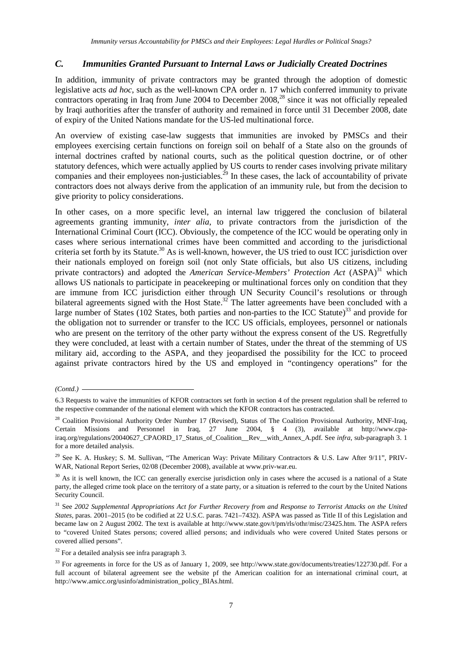## *C. Immunities Granted Pursuant to Internal Laws or Judicially Created Doctrines*

In addition, immunity of private contractors may be granted through the adoption of domestic legislative acts *ad hoc*, such as the well-known CPA order n. 17 which conferred immunity to private contractors operating in Iraq from June 2004 to December 2008,<sup>28</sup> since it was not officially repealed by Iraqi authorities after the transfer of authority and remained in force until 31 December 2008, date of expiry of the United Nations mandate for the US-led multinational force.

An overview of existing case-law suggests that immunities are invoked by PMSCs and their employees exercising certain functions on foreign soil on behalf of a State also on the grounds of internal doctrines crafted by national courts, such as the political question doctrine, or of other statutory defences, which were actually applied by US courts to render cases involving private military companies and their employees non-justiciables.<sup>29</sup> In these cases, the lack of accountability of private contractors does not always derive from the application of an immunity rule, but from the decision to give priority to policy considerations.

In other cases, on a more specific level, an internal law triggered the conclusion of bilateral agreements granting immunity, *inter alia*, to private contractors from the jurisdiction of the International Criminal Court (ICC). Obviously, the competence of the ICC would be operating only in cases where serious international crimes have been committed and according to the jurisdictional criteria set forth by its Statute.<sup>30</sup> As is well-known, however, the US tried to oust ICC jurisdiction over their nationals employed on foreign soil (not only State officials, but also US citizens, including private contractors) and adopted the *American Service-Members' Protection Act* (ASPA)<sup>31</sup> which allows US nationals to participate in peacekeeping or multinational forces only on condition that they are immune from ICC jurisdiction either through UN Security Council's resolutions or through bilateral agreements signed with the Host State.<sup>32</sup> The latter agreements have been concluded with a large number of States (102 States, both parties and non-parties to the ICC Statute)<sup>33</sup> and provide for the obligation not to surrender or transfer to the ICC US officials, employees, personnel or nationals who are present on the territory of the other party without the express consent of the US. Regretfully they were concluded, at least with a certain number of States, under the threat of the stemming of US military aid, according to the ASPA, and they jeopardised the possibility for the ICC to proceed against private contractors hired by the US and employed in "contingency operations" for the

*<sup>(</sup>Contd.)* 

<sup>6.3</sup> Requests to waive the immunities of KFOR contractors set forth in section 4 of the present regulation shall be referred to the respective commander of the national element with which the KFOR contractors has contracted.

<sup>&</sup>lt;sup>28</sup> Coalition Provisional Authority Order Number 17 (Revised), Status of The Coalition Provisional Authority, MNF-Iraq, Certain Missions and Personnel in Iraq, 27 June 2004, § 4 (3), available at http://www.cpairaq.org/regulations/20040627\_CPAORD\_17\_Status\_of\_Coalition\_\_Rev\_\_with\_Annex\_A.pdf. See *infra*, sub-paragraph 3. 1 for a more detailed analysis.

<sup>&</sup>lt;sup>29</sup> See K. A. Huskey; S. M. Sullivan, "The American Way: Private Military Contractors & U.S. Law After 9/11", PRIV-WAR, National Report Series, 02/08 (December 2008), available at www.priv-war.eu.

 $30$  As it is well known, the ICC can generally exercise jurisdiction only in cases where the accused is a national of a State party, the alleged crime took place on the territory of a state party, or a situation is referred to the court by the United Nations Security Council.

<sup>31</sup> See *2002 Supplemental Appropriations Act for Further Recovery from and Response to Terrorist Attacks on the United States*, paras. 2001–2015 (to be codified at 22 U.S.C. paras. 7421–7432). ASPA was passed as Title II of this Legislation and became law on 2 August 2002. The text is available at http://www.state.gov/t/pm/rls/othr/misc/23425.htm. The ASPA refers to "covered United States persons; covered allied persons; and individuals who were covered United States persons or covered allied persons".

 $32$  For a detailed analysis see infra paragraph 3.

<sup>&</sup>lt;sup>33</sup> For agreements in force for the US as of January 1, 2009, see http://www.state.gov/documents/treaties/122730.pdf. For a full account of bilateral agreement see the website pf the American coalition for an international criminal court, at http://www.amicc.org/usinfo/administration\_policy\_BIAs.html.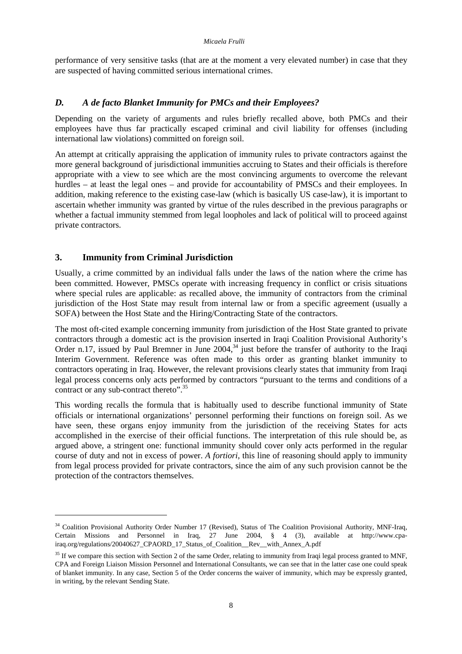performance of very sensitive tasks (that are at the moment a very elevated number) in case that they are suspected of having committed serious international crimes.

## *D. A de facto Blanket Immunity for PMCs and their Employees?*

Depending on the variety of arguments and rules briefly recalled above, both PMCs and their employees have thus far practically escaped criminal and civil liability for offenses (including international law violations) committed on foreign soil.

An attempt at critically appraising the application of immunity rules to private contractors against the more general background of jurisdictional immunities accruing to States and their officials is therefore appropriate with a view to see which are the most convincing arguments to overcome the relevant hurdles – at least the legal ones – and provide for accountability of PMSCs and their employees. In addition, making reference to the existing case-law (which is basically US case-law), it is important to ascertain whether immunity was granted by virtue of the rules described in the previous paragraphs or whether a factual immunity stemmed from legal loopholes and lack of political will to proceed against private contractors.

## **3. Immunity from Criminal Jurisdiction**

 $\overline{a}$ 

Usually, a crime committed by an individual falls under the laws of the nation where the crime has been committed. However, PMSCs operate with increasing frequency in conflict or crisis situations where special rules are applicable: as recalled above, the immunity of contractors from the criminal jurisdiction of the Host State may result from internal law or from a specific agreement (usually a SOFA) between the Host State and the Hiring/Contracting State of the contractors.

The most oft-cited example concerning immunity from jurisdiction of the Host State granted to private contractors through a domestic act is the provision inserted in Iraqi Coalition Provisional Authority's Order n.17, issued by Paul Bremner in June 2004,<sup>34</sup> just before the transfer of authority to the Iraqi Interim Government. Reference was often made to this order as granting blanket immunity to contractors operating in Iraq. However, the relevant provisions clearly states that immunity from Iraqi legal process concerns only acts performed by contractors "pursuant to the terms and conditions of a contract or any sub-contract thereto".<sup>35</sup>

This wording recalls the formula that is habitually used to describe functional immunity of State officials or international organizations' personnel performing their functions on foreign soil. As we have seen, these organs enjoy immunity from the jurisdiction of the receiving States for acts accomplished in the exercise of their official functions. The interpretation of this rule should be, as argued above, a stringent one: functional immunity should cover only acts performed in the regular course of duty and not in excess of power. *A fortiori*, this line of reasoning should apply to immunity from legal process provided for private contractors, since the aim of any such provision cannot be the protection of the contractors themselves.

<sup>&</sup>lt;sup>34</sup> Coalition Provisional Authority Order Number 17 (Revised), Status of The Coalition Provisional Authority, MNF-Iraq, Certain Missions and Personnel in Iraq, 27 June 2004, § 4 (3), available at http://www.cpairaq.org/regulations/20040627\_CPAORD\_17\_Status\_of\_Coalition\_\_Rev\_\_with\_Annex\_A.pdf

<sup>&</sup>lt;sup>35</sup> If we compare this section with Section 2 of the same Order, relating to immunity from Iraqi legal process granted to MNF, CPA and Foreign Liaison Mission Personnel and International Consultants, we can see that in the latter case one could speak of blanket immunity. In any case, Section 5 of the Order concerns the waiver of immunity, which may be expressly granted, in writing, by the relevant Sending State.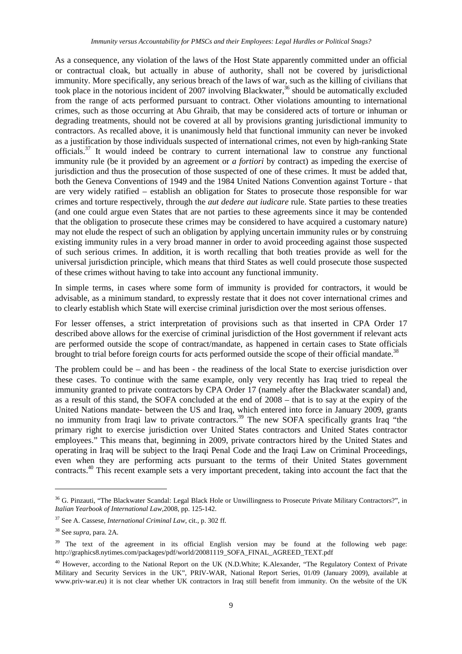As a consequence, any violation of the laws of the Host State apparently committed under an official or contractual cloak, but actually in abuse of authority, shall not be covered by jurisdictional immunity. More specifically, any serious breach of the laws of war, such as the killing of civilians that took place in the notorious incident of 2007 involving Blackwater,<sup>36</sup> should be automatically excluded from the range of acts performed pursuant to contract. Other violations amounting to international crimes, such as those occurring at Abu Ghraib, that may be considered acts of torture or inhuman or degrading treatments, should not be covered at all by provisions granting jurisdictional immunity to contractors. As recalled above, it is unanimously held that functional immunity can never be invoked as a justification by those individuals suspected of international crimes, not even by high-ranking State officials.<sup>37</sup> It would indeed be contrary to current international law to construe any functional immunity rule (be it provided by an agreement or *a fortiori* by contract) as impeding the exercise of jurisdiction and thus the prosecution of those suspected of one of these crimes. It must be added that, both the Geneva Conventions of 1949 and the 1984 United Nations Convention against Torture - that are very widely ratified – establish an obligation for States to prosecute those responsible for war crimes and torture respectively, through the *aut dedere aut iudicare* rule. State parties to these treaties (and one could argue even States that are not parties to these agreements since it may be contended that the obligation to prosecute these crimes may be considered to have acquired a customary nature) may not elude the respect of such an obligation by applying uncertain immunity rules or by construing existing immunity rules in a very broad manner in order to avoid proceeding against those suspected of such serious crimes. In addition, it is worth recalling that both treaties provide as well for the universal jurisdiction principle, which means that third States as well could prosecute those suspected of these crimes without having to take into account any functional immunity.

In simple terms, in cases where some form of immunity is provided for contractors, it would be advisable, as a minimum standard, to expressly restate that it does not cover international crimes and to clearly establish which State will exercise criminal jurisdiction over the most serious offenses.

For lesser offenses, a strict interpretation of provisions such as that inserted in CPA Order 17 described above allows for the exercise of criminal jurisdiction of the Host government if relevant acts are performed outside the scope of contract/mandate, as happened in certain cases to State officials brought to trial before foreign courts for acts performed outside the scope of their official mandate.<sup>38</sup>

The problem could be – and has been - the readiness of the local State to exercise jurisdiction over these cases. To continue with the same example, only very recently has Iraq tried to repeal the immunity granted to private contractors by CPA Order 17 (namely after the Blackwater scandal) and, as a result of this stand, the SOFA concluded at the end of 2008 – that is to say at the expiry of the United Nations mandate- between the US and Iraq, which entered into force in January 2009, grants no immunity from Iraqi law to private contractors.<sup>39</sup> The new SOFA specifically grants Iraq "the primary right to exercise jurisdiction over United States contractors and United States contractor employees." This means that, beginning in 2009, private contractors hired by the United States and operating in Iraq will be subject to the Iraqi Penal Code and the Iraqi Law on Criminal Proceedings, even when they are performing acts pursuant to the terms of their United States government contracts.<sup>40</sup> This recent example sets a very important precedent, taking into account the fact that the

<sup>&</sup>lt;sup>36</sup> G. Pinzauti, "The Blackwater Scandal: Legal Black Hole or Unwillingness to Prosecute Private Military Contractors?", in *Italian Yearbook of International Law,*2008, pp. 125-142.

<sup>37</sup> See A. Cassese, *International Criminal Law*, cit., p. 302 ff.

<sup>38</sup> See *supra*, para. 2A.

<sup>&</sup>lt;sup>39</sup> The text of the agreement in its official English version may be found at the following web page: http://graphics8.nytimes.com/packages/pdf/world/20081119\_SOFA\_FINAL\_AGREED\_TEXT.pdf

<sup>&</sup>lt;sup>40</sup> However, according to the National Report on the UK (N.D.White; K.Alexander, "The Regulatory Context of Private Military and Security Services in the UK", PRIV-WAR, National Report Series, 01/09 (January 2009), available at www.priv-war.eu) it is not clear whether UK contractors in Iraq still benefit from immunity. On the website of the UK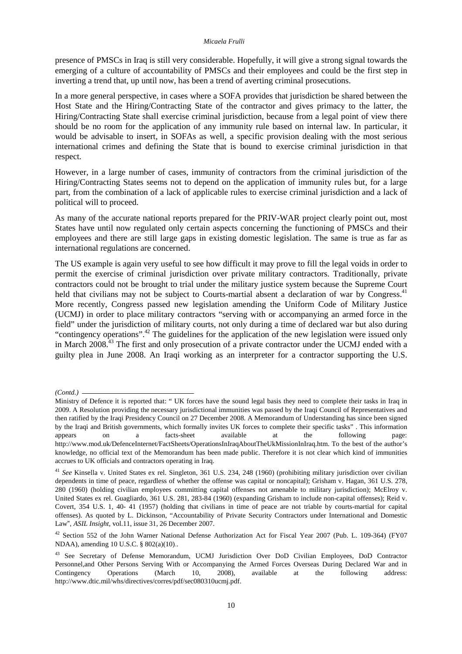presence of PMSCs in Iraq is still very considerable. Hopefully, it will give a strong signal towards the emerging of a culture of accountability of PMSCs and their employees and could be the first step in inverting a trend that, up until now, has been a trend of averting criminal prosecutions.

In a more general perspective, in cases where a SOFA provides that jurisdiction be shared between the Host State and the Hiring/Contracting State of the contractor and gives primacy to the latter, the Hiring/Contracting State shall exercise criminal jurisdiction, because from a legal point of view there should be no room for the application of any immunity rule based on internal law. In particular, it would be advisable to insert, in SOFAs as well, a specific provision dealing with the most serious international crimes and defining the State that is bound to exercise criminal jurisdiction in that respect.

However, in a large number of cases, immunity of contractors from the criminal jurisdiction of the Hiring/Contracting States seems not to depend on the application of immunity rules but, for a large part, from the combination of a lack of applicable rules to exercise criminal jurisdiction and a lack of political will to proceed.

As many of the accurate national reports prepared for the PRIV-WAR project clearly point out, most States have until now regulated only certain aspects concerning the functioning of PMSCs and their employees and there are still large gaps in existing domestic legislation. The same is true as far as international regulations are concerned.

The US example is again very useful to see how difficult it may prove to fill the legal voids in order to permit the exercise of criminal jurisdiction over private military contractors. Traditionally, private contractors could not be brought to trial under the military justice system because the Supreme Court held that civilians may not be subject to Courts-martial absent a declaration of war by Congress.<sup>41</sup> More recently, Congress passed new legislation amending the Uniform Code of Military Justice (UCMJ) in order to place military contractors "serving with or accompanying an armed force in the field" under the jurisdiction of military courts, not only during a time of declared war but also during "contingency operations".<sup>42</sup> The guidelines for the application of the new legislation were issued only in March 2008.<sup>43</sup> The first and only prosecution of a private contractor under the UCMJ ended with a guilty plea in June 2008. An Iraqi working as an interpreter for a contractor supporting the U.S.

*<sup>(</sup>Contd.)* 

Ministry of Defence it is reported that: " UK forces have the sound legal basis they need to complete their tasks in Iraq in 2009. A Resolution providing the necessary jurisdictional immunities was passed by the Iraqi Council of Representatives and then ratified by the Iraqi Presidency Council on 27 December 2008. A Memorandum of Understanding has since been signed by the Iraqi and British governments, which formally invites UK forces to complete their specific tasks" . This information appears on a facts-sheet available at the following page: http://www.mod.uk/DefenceInternet/FactSheets/OperationsInIraqAboutTheUkMissionInIraq.htm. To the best of the author's knowledge, no official text of the Memorandum has been made public. Therefore it is not clear which kind of immunities accrues to UK officials and contractors operating in Iraq.

<sup>41</sup> *See* Kinsella v. United States ex rel. Singleton, 361 U.S. 234, 248 (1960) (prohibiting military jurisdiction over civilian dependents in time of peace, regardless of whether the offense was capital or noncapital); Grisham v. Hagan, 361 U.S. 278, 280 (1960) (holding civilian employees committing capital offenses not amenable to military jurisdiction); McElroy v. United States ex rel. Guagliardo, 361 U.S. 281, 283-84 (1960) (expanding Grisham to include non-capital offenses); Reid v. Covert, 354 U.S. 1, 40- 41 (1957) (holding that civilians in time of peace are not triable by courts-martial for capital offenses). As quoted by L. Dickinson, "Accountability of Private Security Contractors under International and Domestic Law", *ASIL Insight*, vol.11, issue 31, 26 December 2007.

<sup>42</sup> Section 552 of the John Warner National Defense Authorization Act for Fiscal Year 2007 (Pub. L. 109-364) (FY07 NDAA), amending 10 U.S.C. § 802(a)(10)..

<sup>&</sup>lt;sup>43</sup> See Secretary of Defense Memorandum, UCMJ Jurisdiction Over DoD Civilian Employees, DoD Contractor Personnel,and Other Persons Serving With or Accompanying the Armed Forces Overseas During Declared War and in Contingency Operations (March 10, 2008), available at the following address: http://www.dtic.mil/whs/directives/corres/pdf/sec080310ucmj.pdf.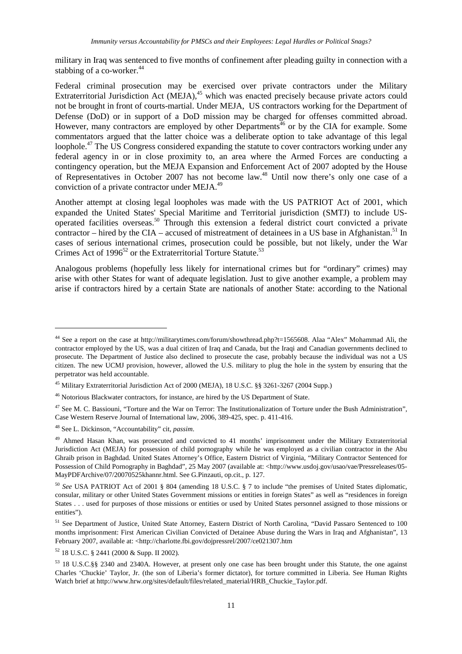military in Iraq was sentenced to five months of confinement after pleading guilty in connection with a stabbing of a co-worker.<sup>44</sup>

Federal criminal prosecution may be exercised over private contractors under the Military Extraterritorial Jurisdiction Act (MEJA),<sup>45</sup> which was enacted precisely because private actors could not be brought in front of courts-martial. Under MEJA, US contractors working for the Department of Defense (DoD) or in support of a DoD mission may be charged for offenses committed abroad. However, many contractors are employed by other Departments<sup> $46$ </sup> or by the CIA for example. Some commentators argued that the latter choice was a deliberate option to take advantage of this legal loophole.<sup>47</sup> The US Congress considered expanding the statute to cover contractors working under any federal agency in or in close proximity to, an area where the Armed Forces are conducting a contingency operation, but the MEJA Expansion and Enforcement Act of 2007 adopted by the House of Representatives in October 2007 has not become law.<sup>48</sup> Until now there's only one case of a conviction of a private contractor under MEJA.<sup>49</sup>

Another attempt at closing legal loopholes was made with the US PATRIOT Act of 2001, which expanded the United States' Special Maritime and Territorial jurisdiction (SMTJ) to include USoperated facilities overseas.<sup>50</sup> Through this extension a federal district court convicted a private contractor – hired by the CIA – accused of mistreatment of detainees in a US base in Afghanistan.<sup>51</sup> In cases of serious international crimes, prosecution could be possible, but not likely, under the War Crimes Act of  $1996^{52}$  or the Extraterritorial Torture Statute.<sup>53</sup>

Analogous problems (hopefully less likely for international crimes but for "ordinary" crimes) may arise with other States for want of adequate legislation. Just to give another example, a problem may arise if contractors hired by a certain State are nationals of another State: according to the National

 $\overline{a}$ 

<sup>52</sup> 18 U.S.C. § 2441 (2000 & Supp. II 2002).

<sup>&</sup>lt;sup>44</sup> See a report on the case at http://militarytimes.com/forum/showthread.php?t=1565608. Alaa "Alex" Mohammad Ali, the contractor employed by the US, was a dual citizen of Iraq and Canada, but the Iraqi and Canadian governments declined to prosecute. The Department of Justice also declined to prosecute the case, probably because the individual was not a US citizen. The new UCMJ provision, however, allowed the U.S. military to plug the hole in the system by ensuring that the perpetrator was held accountable.

<sup>45</sup> Military Extraterritorial Jurisdiction Act of 2000 (MEJA), 18 U.S.C. §§ 3261-3267 (2004 Supp.)

<sup>46</sup> Notorious Blackwater contractors, for instance, are hired by the US Department of State.

<sup>47</sup> See M. C. Bassiouni, "Torture and the War on Terror: The Institutionalization of Torture under the Bush Administration"*,* Case Western Reserve Journal of International law, 2006, 389-425, spec. p. 411-416.

<sup>48</sup> See L. Dickinson, "Accountability" cit, *passim*.

<sup>&</sup>lt;sup>49</sup> Ahmed Hasan Khan, was prosecuted and convicted to 41 months' imprisonment under the Military Extraterritorial Jurisdiction Act (MEJA) for possession of child pornography while he was employed as a civilian contractor in the Abu Ghraib prison in Baghdad. United States Attorney's Office, Eastern District of Virginia, "Military Contractor Sentenced for Possession of Child Pornography in Baghdad", 25 May 2007 (available at: <http://www.usdoj.gov/usao/vae/Pressreleases/05- MayPDFArchive/07/20070525khannr.html. See G.Pinzauti, op.cit., p. 127.

<sup>50</sup> *See* USA PATRIOT Act of 2001 § 804 (amending 18 U.S.C. § 7 to include "the premises of United States diplomatic, consular, military or other United States Government missions or entities in foreign States" as well as "residences in foreign States . . . used for purposes of those missions or entities or used by United States personnel assigned to those missions or entities").

<sup>51</sup> See Department of Justice, United State Attorney, Eastern District of North Carolina, "David Passaro Sentenced to 100 months imprisonment: First American Civilian Convicted of Detainee Abuse during the Wars in Iraq and Afghanistan", 13 February 2007, available at: <http://charlotte.fbi.gov/dojpressrel/2007/ce021307.htm

<sup>53</sup> 18 U.S.C.§§ 2340 and 2340A. However, at present only one case has been brought under this Statute, the one against Charles 'Chuckie' Taylor, Jr. (the son of Liberia's former dictator), for torture committed in Liberia. See Human Rights Watch brief at http://www.hrw.org/sites/default/files/related\_material/HRB\_Chuckie\_Taylor.pdf.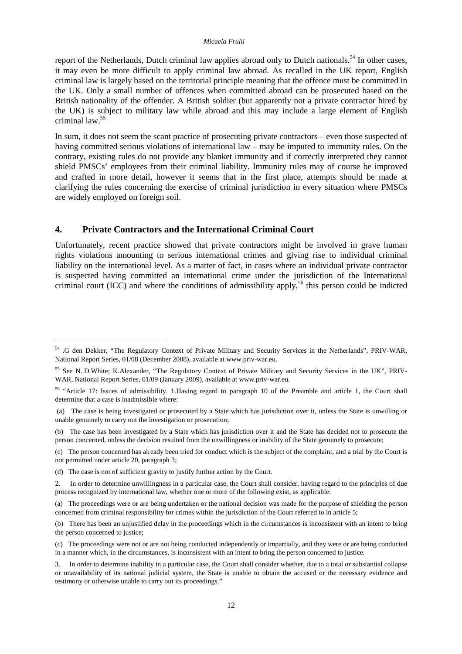report of the Netherlands, Dutch criminal law applies abroad only to Dutch nationals.<sup>54</sup> In other cases, it may even be more difficult to apply criminal law abroad. As recalled in the UK report, English criminal law is largely based on the territorial principle meaning that the offence must be committed in the UK. Only a small number of offences when committed abroad can be prosecuted based on the British nationality of the offender. A British soldier (but apparently not a private contractor hired by the UK) is subject to military law while abroad and this may include a large element of English criminal law.<sup>55</sup>

In sum, it does not seem the scant practice of prosecuting private contractors – even those suspected of having committed serious violations of international law – may be imputed to immunity rules. On the contrary, existing rules do not provide any blanket immunity and if correctly interpreted they cannot shield PMSCs' employees from their criminal liability. Immunity rules may of course be improved and crafted in more detail, however it seems that in the first place, attempts should be made at clarifying the rules concerning the exercise of criminal jurisdiction in every situation where PMSCs are widely employed on foreign soil.

## **4. Private Contractors and the International Criminal Court**

Unfortunately, recent practice showed that private contractors might be involved in grave human rights violations amounting to serious international crimes and giving rise to individual criminal liability on the international level. As a matter of fact, in cases where an individual private contractor is suspected having committed an international crime under the jurisdiction of the International criminal court (ICC) and where the conditions of admissibility apply,<sup>56</sup> this person could be indicted

<sup>54</sup> .G den Dekker, "The Regulatory Context of Private Military and Security Services in the Netherlands", PRIV-WAR, National Report Series, 01/08 (December 2008), available at www.priv-war.eu.

<sup>55</sup> See N..D.White; K.Alexander, "The Regulatory Context of Private Military and Security Services in the UK", PRIV-WAR, National Report Series, 01/09 (January 2009), available at www.priv-war.eu.

<sup>56</sup> "Article 17: Issues of admissibility. 1.Having regard to paragraph 10 of the Preamble and article 1, the Court shall determine that a case is inadmissible where:

 <sup>(</sup>a) The case is being investigated or prosecuted by a State which has jurisdiction over it, unless the State is unwilling or unable genuinely to carry out the investigation or prosecution;

<sup>(</sup>b) The case has been investigated by a State which has jurisdiction over it and the State has decided not to prosecute the person concerned, unless the decision resulted from the unwillingness or inability of the State genuinely to prosecute;

<sup>(</sup>c) The person concerned has already been tried for conduct which is the subject of the complaint, and a trial by the Court is not permitted under article 20, paragraph 3;

<sup>(</sup>d) The case is not of sufficient gravity to justify further action by the Court.

<sup>2.</sup> In order to determine unwillingness in a particular case, the Court shall consider, having regard to the principles of due process recognized by international law, whether one or more of the following exist, as applicable:

<sup>(</sup>a) The proceedings were or are being undertaken or the national decision was made for the purpose of shielding the person concerned from criminal responsibility for crimes within the jurisdiction of the Court referred to in article 5;

<sup>(</sup>b) There has been an unjustified delay in the proceedings which in the circumstances is inconsistent with an intent to bring the person concerned to justice;

<sup>(</sup>c) The proceedings were not or are not being conducted independently or impartially, and they were or are being conducted in a manner which, in the circumstances, is inconsistent with an intent to bring the person concerned to justice.

<sup>3.</sup> In order to determine inability in a particular case, the Court shall consider whether, due to a total or substantial collapse or unavailability of its national judicial system, the State is unable to obtain the accused or the necessary evidence and testimony or otherwise unable to carry out its proceedings."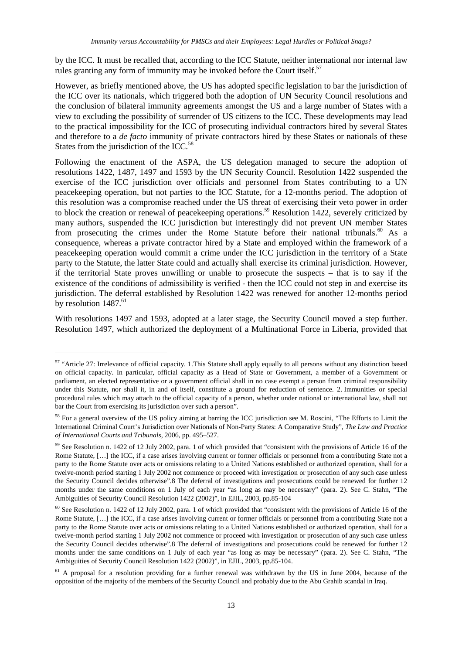by the ICC. It must be recalled that, according to the ICC Statute, neither international nor internal law rules granting any form of immunity may be invoked before the Court itself.<sup>57</sup>

However, as briefly mentioned above, the US has adopted specific legislation to bar the jurisdiction of the ICC over its nationals, which triggered both the adoption of UN Security Council resolutions and the conclusion of bilateral immunity agreements amongst the US and a large number of States with a view to excluding the possibility of surrender of US citizens to the ICC. These developments may lead to the practical impossibility for the ICC of prosecuting individual contractors hired by several States and therefore to a *de facto* immunity of private contractors hired by these States or nationals of these States from the jurisdiction of the ICC. $58$ 

Following the enactment of the ASPA, the US delegation managed to secure the adoption of resolutions 1422, 1487, 1497 and 1593 by the UN Security Council. Resolution 1422 suspended the exercise of the ICC jurisdiction over officials and personnel from States contributing to a UN peacekeeping operation, but not parties to the ICC Statute, for a 12-months period. The adoption of this resolution was a compromise reached under the US threat of exercising their veto power in order to block the creation or renewal of peacekeeping operations.<sup>59</sup> Resolution 1422, severely criticized by many authors, suspended the ICC jurisdiction but interestingly did not prevent UN member States from prosecuting the crimes under the Rome Statute before their national tribunals.<sup>60</sup> As a consequence, whereas a private contractor hired by a State and employed within the framework of a peacekeeping operation would commit a crime under the ICC jurisdiction in the territory of a State party to the Statute, the latter State could and actually shall exercise its criminal jurisdiction. However, if the territorial State proves unwilling or unable to prosecute the suspects – that is to say if the existence of the conditions of admissibility is verified - then the ICC could not step in and exercise its jurisdiction. The deferral established by Resolution 1422 was renewed for another 12-months period by resolution  $1487.^{61}$ 

With resolutions 1497 and 1593, adopted at a later stage, the Security Council moved a step further. Resolution 1497, which authorized the deployment of a Multinational Force in Liberia, provided that

<sup>&</sup>lt;sup>57</sup> "Article 27: Irrelevance of official capacity. 1.This Statute shall apply equally to all persons without any distinction based on official capacity. In particular, official capacity as a Head of State or Government, a member of a Government or parliament, an elected representative or a government official shall in no case exempt a person from criminal responsibility under this Statute, nor shall it, in and of itself, constitute a ground for reduction of sentence. 2. Immunities or special procedural rules which may attach to the official capacity of a person, whether under national or international law, shall not bar the Court from exercising its jurisdiction over such a person".

<sup>&</sup>lt;sup>58</sup> For a general overview of the US policy aiming at barring the ICC jurisdiction see M. Roscini, "The Efforts to Limit the International Criminal Court's Jurisdiction over Nationals of Non-Party States: A Comparative Study", *The Law and Practice of International Courts and Tribunals*, 2006, pp. 495–527.

<sup>&</sup>lt;sup>59</sup> See Resolution n. 1422 of 12 July 2002, para. 1 of which provided that "consistent with the provisions of Article 16 of the Rome Statute, [...] the ICC, if a case arises involving current or former officials or personnel from a contributing State not a party to the Rome Statute over acts or omissions relating to a United Nations established or authorized operation, shall for a twelve-month period starting 1 July 2002 not commence or proceed with investigation or prosecution of any such case unless the Security Council decides otherwise".8 The deferral of investigations and prosecutions could be renewed for further 12 months under the same conditions on 1 July of each year "as long as may be necessary" (para. 2). See C. Stahn, "The Ambiguities of Security Council Resolution 1422 (2002)", in EJIL, 2003, pp.85-104

<sup>60</sup> See Resolution n. 1422 of 12 July 2002, para. 1 of which provided that "consistent with the provisions of Article 16 of the Rome Statute, […] the ICC, if a case arises involving current or former officials or personnel from a contributing State not a party to the Rome Statute over acts or omissions relating to a United Nations established or authorized operation, shall for a twelve-month period starting 1 July 2002 not commence or proceed with investigation or prosecution of any such case unless the Security Council decides otherwise".8 The deferral of investigations and prosecutions could be renewed for further 12 months under the same conditions on 1 July of each year "as long as may be necessary" (para. 2). See C. Stahn, "The Ambiguities of Security Council Resolution 1422 (2002)", in EJIL, 2003, pp.85-104.

<sup>&</sup>lt;sup>61</sup> A proposal for a resolution providing for a further renewal was withdrawn by the US in June 2004, because of the opposition of the majority of the members of the Security Council and probably due to the Abu Grahib scandal in Iraq.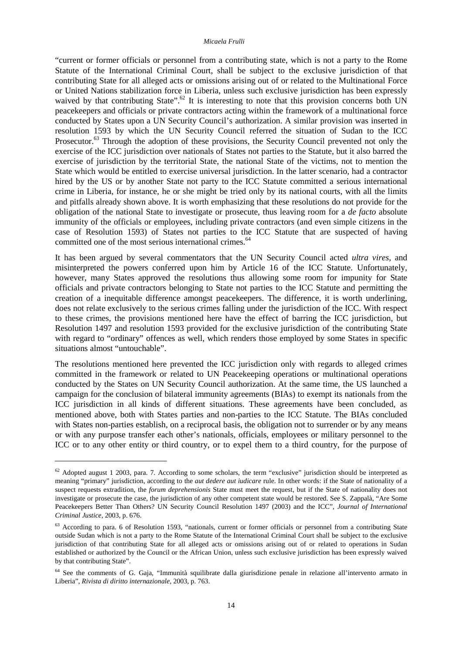"current or former officials or personnel from a contributing state, which is not a party to the Rome Statute of the International Criminal Court, shall be subject to the exclusive jurisdiction of that contributing State for all alleged acts or omissions arising out of or related to the Multinational Force or United Nations stabilization force in Liberia, unless such exclusive jurisdiction has been expressly waived by that contributing State".<sup>62</sup> It is interesting to note that this provision concerns both UN peacekeepers and officials or private contractors acting within the framework of a multinational force conducted by States upon a UN Security Council's authorization. A similar provision was inserted in resolution 1593 by which the UN Security Council referred the situation of Sudan to the ICC Prosecutor.<sup>63</sup> Through the adoption of these provisions, the Security Council prevented not only the exercise of the ICC jurisdiction over nationals of States not parties to the Statute, but it also barred the exercise of jurisdiction by the territorial State, the national State of the victims, not to mention the State which would be entitled to exercise universal jurisdiction. In the latter scenario, had a contractor hired by the US or by another State not party to the ICC Statute committed a serious international crime in Liberia, for instance, he or she might be tried only by its national courts, with all the limits and pitfalls already shown above. It is worth emphasizing that these resolutions do not provide for the obligation of the national State to investigate or prosecute, thus leaving room for a *de facto* absolute immunity of the officials or employees, including private contractors (and even simple citizens in the case of Resolution 1593) of States not parties to the ICC Statute that are suspected of having committed one of the most serious international crimes.<sup>64</sup>

It has been argued by several commentators that the UN Security Council acted *ultra vires*, and misinterpreted the powers conferred upon him by Article 16 of the ICC Statute. Unfortunately, however, many States approved the resolutions thus allowing some room for impunity for State officials and private contractors belonging to State not parties to the ICC Statute and permitting the creation of a inequitable difference amongst peacekeepers. The difference, it is worth underlining, does not relate exclusively to the serious crimes falling under the jurisdiction of the ICC. With respect to these crimes, the provisions mentioned here have the effect of barring the ICC jurisdiction, but Resolution 1497 and resolution 1593 provided for the exclusive jurisdiction of the contributing State with regard to "ordinary" offences as well, which renders those employed by some States in specific situations almost "untouchable".

The resolutions mentioned here prevented the ICC jurisdiction only with regards to alleged crimes committed in the framework or related to UN Peacekeeping operations or multinational operations conducted by the States on UN Security Council authorization. At the same time, the US launched a campaign for the conclusion of bilateral immunity agreements (BIAs) to exempt its nationals from the ICC jurisdiction in all kinds of different situations. These agreements have been concluded, as mentioned above, both with States parties and non-parties to the ICC Statute. The BIAs concluded with States non-parties establish, on a reciprocal basis, the obligation not to surrender or by any means or with any purpose transfer each other's nationals, officials, employees or military personnel to the ICC or to any other entity or third country, or to expel them to a third country, for the purpose of

 $62$  Adopted august 1 2003, para. 7. According to some scholars, the term "exclusive" jurisdiction should be interpreted as meaning "primary" jurisdiction, according to the *aut dedere aut iudicare* rule. In other words: if the State of nationality of a suspect requests extradition, the *forum deprehensionis* State must meet the request, but if the State of nationality does not investigate or prosecute the case, the jurisdiction of any other competent state would be restored. See S. Zappalà, "Are Some Peacekeepers Better Than Others? UN Security Council Resolution 1497 (2003) and the ICC", *Journal of International Criminal Justice*, 2003, p. 676.

<sup>&</sup>lt;sup>63</sup> According to para. 6 of Resolution 1593, "nationals, current or former officials or personnel from a contributing State outside Sudan which is not a party to the Rome Statute of the International Criminal Court shall be subject to the exclusive jurisdiction of that contributing State for all alleged acts or omissions arising out of or related to operations in Sudan established or authorized by the Council or the African Union, unless such exclusive jurisdiction has been expressly waived by that contributing State".

<sup>64</sup> See the comments of G. Gaja, "Immunità squilibrate dalla giurisdizione penale in relazione all'intervento armato in Liberia", *Rivista di diritto internazionale*, 2003, p. 763.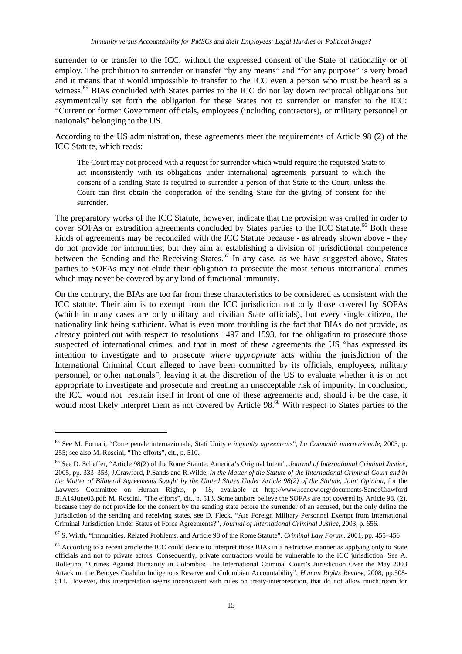surrender to or transfer to the ICC, without the expressed consent of the State of nationality or of employ. The prohibition to surrender or transfer "by any means" and "for any purpose" is very broad and it means that it would impossible to transfer to the ICC even a person who must be heard as a witness.<sup>65</sup> BIAs concluded with States parties to the ICC do not lay down reciprocal obligations but asymmetrically set forth the obligation for these States not to surrender or transfer to the ICC: "Current or former Government officials, employees (including contractors), or military personnel or nationals" belonging to the US.

According to the US administration, these agreements meet the requirements of Article 98 (2) of the ICC Statute, which reads:

The Court may not proceed with a request for surrender which would require the requested State to act inconsistently with its obligations under international agreements pursuant to which the consent of a sending State is required to surrender a person of that State to the Court, unless the Court can first obtain the cooperation of the sending State for the giving of consent for the surrender.

The preparatory works of the ICC Statute, however, indicate that the provision was crafted in order to cover SOFAs or extradition agreements concluded by States parties to the ICC Statute.<sup>66</sup> Both these kinds of agreements may be reconciled with the ICC Statute because - as already shown above - they do not provide for immunities, but they aim at establishing a division of jurisdictional competence between the Sending and the Receiving States.<sup>67</sup> In any case, as we have suggested above, States parties to SOFAs may not elude their obligation to prosecute the most serious international crimes which may never be covered by any kind of functional immunity.

On the contrary, the BIAs are too far from these characteristics to be considered as consistent with the ICC statute. Their aim is to exempt from the ICC jurisdiction not only those covered by SOFAs (which in many cases are only military and civilian State officials), but every single citizen, the nationality link being sufficient. What is even more troubling is the fact that BIAs do not provide, as already pointed out with respect to resolutions 1497 and 1593, for the obligation to prosecute those suspected of international crimes, and that in most of these agreements the US "has expressed its intention to investigate and to prosecute *where appropriate* acts within the jurisdiction of the International Criminal Court alleged to have been committed by its officials, employees, military personnel, or other nationals", leaving it at the discretion of the US to evaluate whether it is or not appropriate to investigate and prosecute and creating an unacceptable risk of impunity. In conclusion, the ICC would not restrain itself in front of one of these agreements and, should it be the case, it would most likely interpret them as not covered by Article 98.<sup>68</sup> With respect to States parties to the

<sup>65</sup> See M. Fornari, "Corte penale internazionale, Stati Unity e *impunity agreements*", *La Comunità internazionale*, 2003, p. 255; see also M. Roscini, "The efforts", cit., p. 510.

<sup>66</sup> See D. Scheffer, "Article 98(2) of the Rome Statute: America's Original Intent", *Journal of International Criminal Justice*, 2005, pp. 333–353; J.Crawford, P.Sands and R.Wilde, *In the Matter of the Statute of the International Criminal Court and in the Matter of Bilateral Agreements Sought by the United States Under Article 98(2) of the Statute, Joint Opinion*, for the Lawyers Committee on Human Rights, p. 18, available at http://www.iccnow.org/documents/SandsCrawford BIA14June03.pdf; M. Roscini, "The efforts", cit., p. 513. Some authors believe the SOFAs are not covered by Article 98, (2), because they do not provide for the consent by the sending state before the surrender of an accused, but the only define the jurisdiction of the sending and receiving states, see D. Fleck, "Are Foreign Military Personnel Exempt from International Criminal Jurisdiction Under Status of Force Agreements?", *Journal of International Criminal Justice*, 2003, p. 656.

<sup>67</sup> S. Wirth, "Immunities, Related Problems, and Article 98 of the Rome Statute", *Criminal Law Forum*, 2001, pp. 455–456

<sup>&</sup>lt;sup>68</sup> According to a recent article the ICC could decide to interpret those BIAs in a restrictive manner as applying only to State officials and not to private actors. Consequently, private contractors would be vulnerable to the ICC jurisdiction. See A. Bolletino, "Crimes Against Humanity in Colombia: The International Criminal Court's Jurisdiction Over the May 2003 Attack on the Betoyes Guahibo Indigenous Reserve and Colombian Accountability", *Human Rights Review*, 2008, pp.508- 511. However, this interpretation seems inconsistent with rules on treaty-interpretation, that do not allow much room for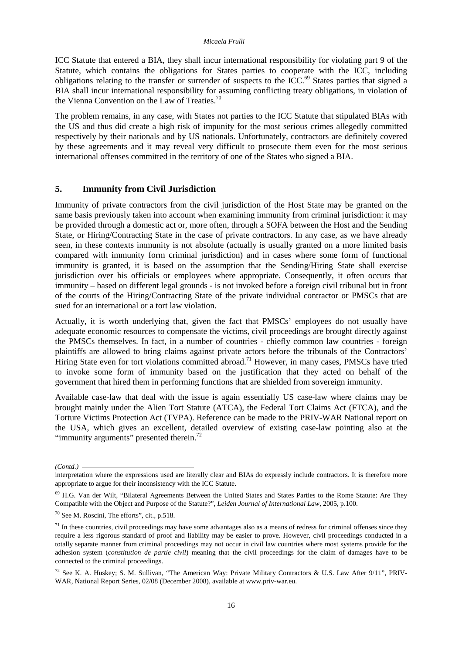ICC Statute that entered a BIA, they shall incur international responsibility for violating part 9 of the Statute, which contains the obligations for States parties to cooperate with the ICC, including obligations relating to the transfer or surrender of suspects to the ICC.<sup>69</sup> States parties that signed a BIA shall incur international responsibility for assuming conflicting treaty obligations, in violation of the Vienna Convention on the Law of Treaties.<sup>70</sup>

The problem remains, in any case, with States not parties to the ICC Statute that stipulated BIAs with the US and thus did create a high risk of impunity for the most serious crimes allegedly committed respectively by their nationals and by US nationals. Unfortunately, contractors are definitely covered by these agreements and it may reveal very difficult to prosecute them even for the most serious international offenses committed in the territory of one of the States who signed a BIA.

## **5. Immunity from Civil Jurisdiction**

Immunity of private contractors from the civil jurisdiction of the Host State may be granted on the same basis previously taken into account when examining immunity from criminal jurisdiction: it may be provided through a domestic act or, more often, through a SOFA between the Host and the Sending State, or Hiring/Contracting State in the case of private contractors. In any case, as we have already seen, in these contexts immunity is not absolute (actually is usually granted on a more limited basis compared with immunity form criminal jurisdiction) and in cases where some form of functional immunity is granted, it is based on the assumption that the Sending/Hiring State shall exercise jurisdiction over his officials or employees where appropriate. Consequently, it often occurs that immunity – based on different legal grounds - is not invoked before a foreign civil tribunal but in front of the courts of the Hiring/Contracting State of the private individual contractor or PMSCs that are sued for an international or a tort law violation.

Actually, it is worth underlying that, given the fact that PMSCs' employees do not usually have adequate economic resources to compensate the victims, civil proceedings are brought directly against the PMSCs themselves. In fact, in a number of countries - chiefly common law countries - foreign plaintiffs are allowed to bring claims against private actors before the tribunals of the Contractors' Hiring State even for tort violations committed abroad.<sup>71</sup> However, in many cases, PMSCs have tried to invoke some form of immunity based on the justification that they acted on behalf of the government that hired them in performing functions that are shielded from sovereign immunity.

Available case-law that deal with the issue is again essentially US case-law where claims may be brought mainly under the Alien Tort Statute (ATCA), the Federal Tort Claims Act (FTCA), and the Torture Victims Protection Act (TVPA). Reference can be made to the PRIV-WAR National report on the USA, which gives an excellent, detailed overview of existing case-law pointing also at the "immunity arguments" presented therein. $72$ 

*<sup>(</sup>Contd.)* 

interpretation where the expressions used are literally clear and BIAs do expressly include contractors. It is therefore more appropriate to argue for their inconsistency with the ICC Statute.

<sup>69</sup> H.G. Van der Wilt, "Bilateral Agreements Between the United States and States Parties to the Rome Statute: Are They Compatible with the Object and Purpose of the Statute?", *Leiden Journal of International Law*, 2005, p.100.

<sup>70</sup> See M. Roscini, The efforts", cit., p.518.

 $71$  In these countries, civil proceedings may have some advantages also as a means of redress for criminal offenses since they require a less rigorous standard of proof and liability may be easier to prove. However, civil proceedings conducted in a totally separate manner from criminal proceedings may not occur in civil law countries where most systems provide for the adhesion system (*constitution de partie civil*) meaning that the civil proceedings for the claim of damages have to be connected to the criminal proceedings.

<sup>&</sup>lt;sup>72</sup> See K. A. Huskey; S. M. Sullivan, "The American Way: Private Military Contractors & U.S. Law After 9/11", PRIV-WAR, National Report Series, 02/08 (December 2008), available at www.priv-war.eu.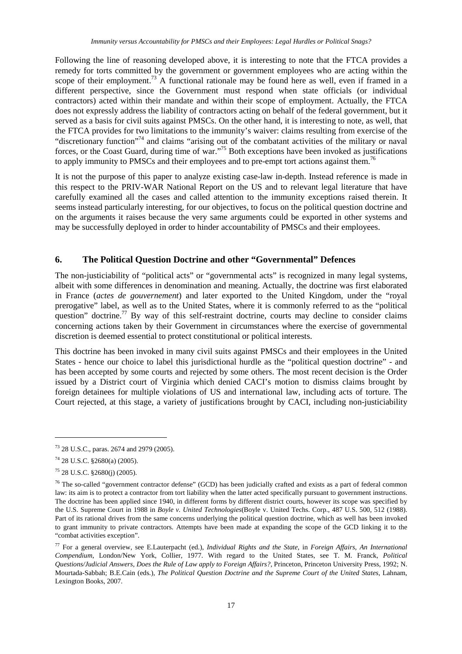Following the line of reasoning developed above, it is interesting to note that the FTCA provides a remedy for torts committed by the government or government employees who are acting within the scope of their employment.<sup>73</sup> A functional rationale may be found here as well, even if framed in a different perspective, since the Government must respond when state officials (or individual contractors) acted within their mandate and within their scope of employment. Actually, the FTCA does not expressly address the liability of contractors acting on behalf of the federal government, but it served as a basis for civil suits against PMSCs. On the other hand, it is interesting to note, as well, that the FTCA provides for two limitations to the immunity's waiver: claims resulting from exercise of the "discretionary function"<sup>74</sup> and claims "arising out of the combatant activities of the military or naval forces, or the Coast Guard, during time of war."<sup>75</sup> Both exceptions have been invoked as justifications to apply immunity to PMSCs and their employees and to pre-empt tort actions against them.<sup>76</sup>

It is not the purpose of this paper to analyze existing case-law in-depth. Instead reference is made in this respect to the PRIV-WAR National Report on the US and to relevant legal literature that have carefully examined all the cases and called attention to the immunity exceptions raised therein. It seems instead particularly interesting, for our objectives, to focus on the political question doctrine and on the arguments it raises because the very same arguments could be exported in other systems and may be successfully deployed in order to hinder accountability of PMSCs and their employees.

## **6. The Political Question Doctrine and other "Governmental" Defences**

The non-justiciability of "political acts" or "governmental acts" is recognized in many legal systems, albeit with some differences in denomination and meaning. Actually, the doctrine was first elaborated in France (*actes de gouvernement*) and later exported to the United Kingdom, under the "royal prerogative" label, as well as to the United States, where it is commonly referred to as the "political question" doctrine.<sup>77</sup> By way of this self-restraint doctrine, courts may decline to consider claims concerning actions taken by their Government in circumstances where the exercise of governmental discretion is deemed essential to protect constitutional or political interests.

This doctrine has been invoked in many civil suits against PMSCs and their employees in the United States - hence our choice to label this jurisdictional hurdle as the "political question doctrine" - and has been accepted by some courts and rejected by some others. The most recent decision is the Order issued by a District court of Virginia which denied CACI's motion to dismiss claims brought by foreign detainees for multiple violations of US and international law, including acts of torture. The Court rejected, at this stage, a variety of justifications brought by CACI, including non-justiciability

<sup>73</sup> 28 U.S.C., paras. 2674 and 2979 (2005).

<sup>74</sup> 28 U.S.C. §2680(a) (2005).

<sup>75</sup> 28 U.S.C. §2680(j) (2005).

 $76$  The so-called "government contractor defense" (GCD) has been judicially crafted and exists as a part of federal common law: its aim is to protect a contractor from tort liability when the latter acted specifically pursuant to government instructions. The doctrine has been applied since 1940, in different forms by different district courts, however its scope was specified by the U.S. Supreme Court in 1988 in *Boyle v. United Technologies*(Boyle v. United Techs. Corp., 487 U.S. 500, 512 (1988). Part of its rational drives from the same concerns underlying the political question doctrine, which as well has been invoked to grant immunity to private contractors. Attempts have been made at expanding the scope of the GCD linking it to the "combat activities exception".

<sup>77</sup> For a general overview, see E.Lauterpacht (ed.), *Individual Rights and the State*, in *Foreign Affairs, An International Compendium*, London/New York, Collier, 1977. With regard to the United States, see T. M. Franck, *Political Questions/Judicial Answers, Does the Rule of Law apply to Foreign Affairs?*, Princeton, Princeton University Press, 1992; N. Mourtada-Sabbah; B.E.Cain (eds.), *The Political Question Doctrine and the Supreme Court of the United States*, Lahnam, Lexington Books, 2007.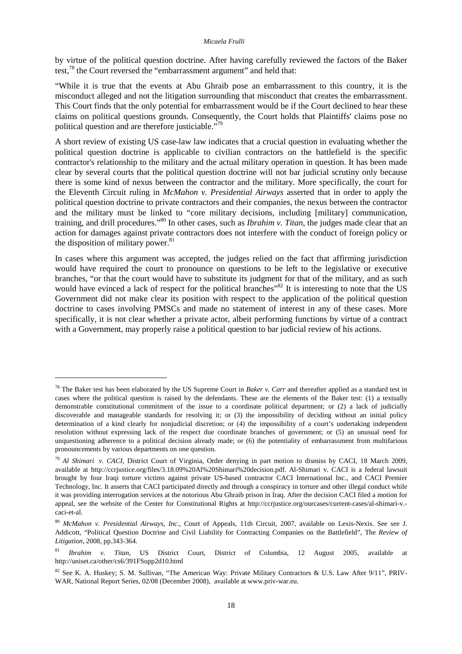by virtue of the political question doctrine. After having carefully reviewed the factors of the Baker test,<sup>78</sup> the Court reversed the "embarrassment argument" and held that:

"While it is true that the events at Abu Ghraib pose an embarrassment to this country, it is the misconduct alleged and not the litigation surrounding that misconduct that creates the embarrassment. This Court finds that the only potential for embarrassment would be if the Court declined to hear these claims on political questions grounds. Consequently, the Court holds that Plaintiffs' claims pose no political question and are therefore justiciable."<sup>79</sup>

A short review of existing US case-law law indicates that a crucial question in evaluating whether the political question doctrine is applicable to civilian contractors on the battlefield is the specific contractor's relationship to the military and the actual military operation in question. It has been made clear by several courts that the political question doctrine will not bar judicial scrutiny only because there is some kind of nexus between the contractor and the military. More specifically, the court for the Eleventh Circuit ruling in *McMahon v. Presidential Airways* asserted that in order to apply the political question doctrine to private contractors and their companies, the nexus between the contractor and the military must be linked to "core military decisions, including [military] communication, training, and drill procedures."<sup>80</sup> In other cases, such as *Ibrahim v. Titan*, the judges made clear that an action for damages against private contractors does not interfere with the conduct of foreign policy or the disposition of military power. $81$ 

In cases where this argument was accepted, the judges relied on the fact that affirming jurisdiction would have required the court to pronounce on questions to be left to the legislative or executive branches, "or that the court would have to substitute its judgment for that of the military, and as such would have evinced a lack of respect for the political branches"<sup>82</sup> It is interesting to note that the US Government did not make clear its position with respect to the application of the political question doctrine to cases involving PMSCs and made no statement of interest in any of these cases. More specifically, it is not clear whether a private actor, albeit performing functions by virtue of a contract with a Government, may properly raise a political question to bar judicial review of his actions.

l

<sup>78</sup> The Baker test has been elaborated by the US Supreme Court in *Baker v. Carr* and thereafter applied as a standard test in cases where the political question is raised by the defendants. These are the elements of the Baker test: (1) a textually demonstrable constitutional commitment of the issue to a coordinate political department; or (2) a lack of judicially discoverable and manageable standards for resolving it; or (3) the impossibility of deciding without an initial policy determination of a kind clearly for nonjudicial discretion; or (4) the impossibility of a court's undertaking independent resolution without expressing lack of the respect due coordinate branches of government; or (5) an unusual need for unquestioning adherence to a political decision already made; or (6) the potentiality of embarrassment from multifarious pronouncements by various departments on one question.

<sup>79</sup> *Al Shimari v. CACI*, District Court of Virginia, Order denying in part motion to dismiss by CACI, 18 March 2009, available at http://ccrjustice.org/files/3.18.09%20Al%20Shimari%20decision.pdf. Al-Shimari v. CACI is a federal lawsuit brought by four Iraqi torture victims against private US-based contractor CACI International Inc., and CACI Premier Technology, Inc. It asserts that CACI participated directly and through a conspiracy in torture and other illegal conduct while it was providing interrogation services at the notorious Abu Ghraib prison in Iraq. After the decision CACI filed a motion for appeal, see the website of the Center for Constitutional Rights at http://ccrjustice.org/ourcases/current-cases/al-shimari-v. caci-et-al.

<sup>80</sup> *McMahon v. Presidential Airways, Inc.,* Court of Appeals, 11th Circuit, 2007, available on Lexis-Nexis. See see J. Addicott, "Political Question Doctrine and Civil Liability for Contracting Companies on the Battlefield", The *Review of Litigation*, 2008, pp.343-364.

<sup>81</sup> *Ibrahim v. Titan*, US District Court, District of Columbia, 12 August 2005, available at http://uniset.ca/other/cs6/391FSupp2d10.html

<sup>82</sup> See K. A. Huskey; S. M. Sullivan, "The American Way: Private Military Contractors & U.S. Law After 9/11", PRIV-WAR, National Report Series, 02/08 (December 2008), available at www.priv-war.eu.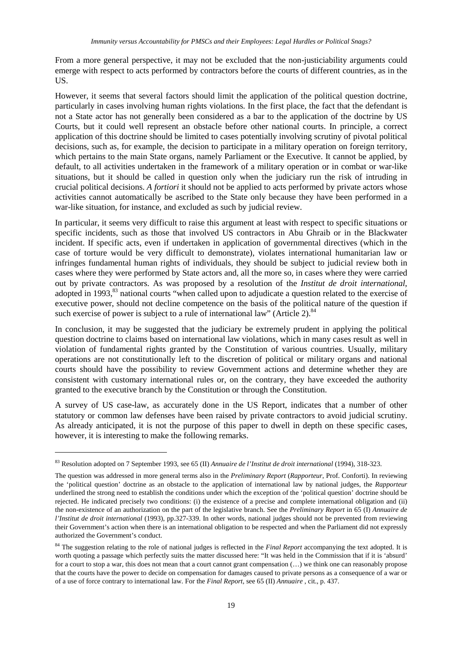From a more general perspective, it may not be excluded that the non-justiciability arguments could emerge with respect to acts performed by contractors before the courts of different countries, as in the US.

However, it seems that several factors should limit the application of the political question doctrine, particularly in cases involving human rights violations. In the first place, the fact that the defendant is not a State actor has not generally been considered as a bar to the application of the doctrine by US Courts, but it could well represent an obstacle before other national courts. In principle, a correct application of this doctrine should be limited to cases potentially involving scrutiny of pivotal political decisions, such as, for example, the decision to participate in a military operation on foreign territory, which pertains to the main State organs, namely Parliament or the Executive. It cannot be applied, by default, to all activities undertaken in the framework of a military operation or in combat or war-like situations, but it should be called in question only when the judiciary run the risk of intruding in crucial political decisions. *A fortiori* it should not be applied to acts performed by private actors whose activities cannot automatically be ascribed to the State only because they have been performed in a war-like situation, for instance, and excluded as such by judicial review.

In particular, it seems very difficult to raise this argument at least with respect to specific situations or specific incidents, such as those that involved US contractors in Abu Ghraib or in the Blackwater incident. If specific acts, even if undertaken in application of governmental directives (which in the case of torture would be very difficult to demonstrate), violates international humanitarian law or infringes fundamental human rights of individuals, they should be subject to judicial review both in cases where they were performed by State actors and, all the more so*,* in cases where they were carried out by private contractors. As was proposed by a resolution of the *Institut de droit international*, adopted in 1993,<sup>83</sup> national courts "when called upon to adjudicate a question related to the exercise of executive power, should not decline competence on the basis of the political nature of the question if such exercise of power is subject to a rule of international law" (Article 2). $84$ 

In conclusion, it may be suggested that the judiciary be extremely prudent in applying the political question doctrine to claims based on international law violations, which in many cases result as well in violation of fundamental rights granted by the Constitution of various countries. Usually, military operations are not constitutionally left to the discretion of political or military organs and national courts should have the possibility to review Government actions and determine whether they are consistent with customary international rules or, on the contrary, they have exceeded the authority granted to the executive branch by the Constitution or through the Constitution.

A survey of US case-law, as accurately done in the US Report, indicates that a number of other statutory or common law defenses have been raised by private contractors to avoid judicial scrutiny. As already anticipated, it is not the purpose of this paper to dwell in depth on these specific cases, however, it is interesting to make the following remarks.

l

<sup>83</sup> Resolution adopted on 7 September 1993, see 65 (II) *Annuaire de l'Institut de droit international* (1994), 318-323.

The question was addressed in more general terms also in the *Preliminary Report* (*Rapporteur*, Prof. Conforti). In reviewing the 'political question' doctrine as an obstacle to the application of international law by national judges, the *Rapporteur* underlined the strong need to establish the conditions under which the exception of the 'political question' doctrine should be rejected. He indicated precisely two conditions: (i) the existence of a precise and complete international obligation and (ii) the non-existence of an authorization on the part of the legislative branch. See the *Preliminary Report* in 65 (I) *Annuaire de l'Institut de droit international* (1993), pp.327-339. In other words, national judges should not be prevented from reviewing their Government's action when there is an international obligation to be respected and when the Parliament did not expressly authorized the Government's conduct.

<sup>&</sup>lt;sup>84</sup> The suggestion relating to the role of national judges is reflected in the *Final Report* accompanying the text adopted. It is worth quoting a passage which perfectly suits the matter discussed here: "It was held in the Commission that if it is 'absurd' for a court to stop a war, this does not mean that a court cannot grant compensation  $(...)$  we think one can reasonably propose that the courts have the power to decide on compensation for damages caused to private persons as a consequence of a war or of a use of force contrary to international law. For the *Final Report*, see 65 (II) *Annuaire* , cit., p. 437.